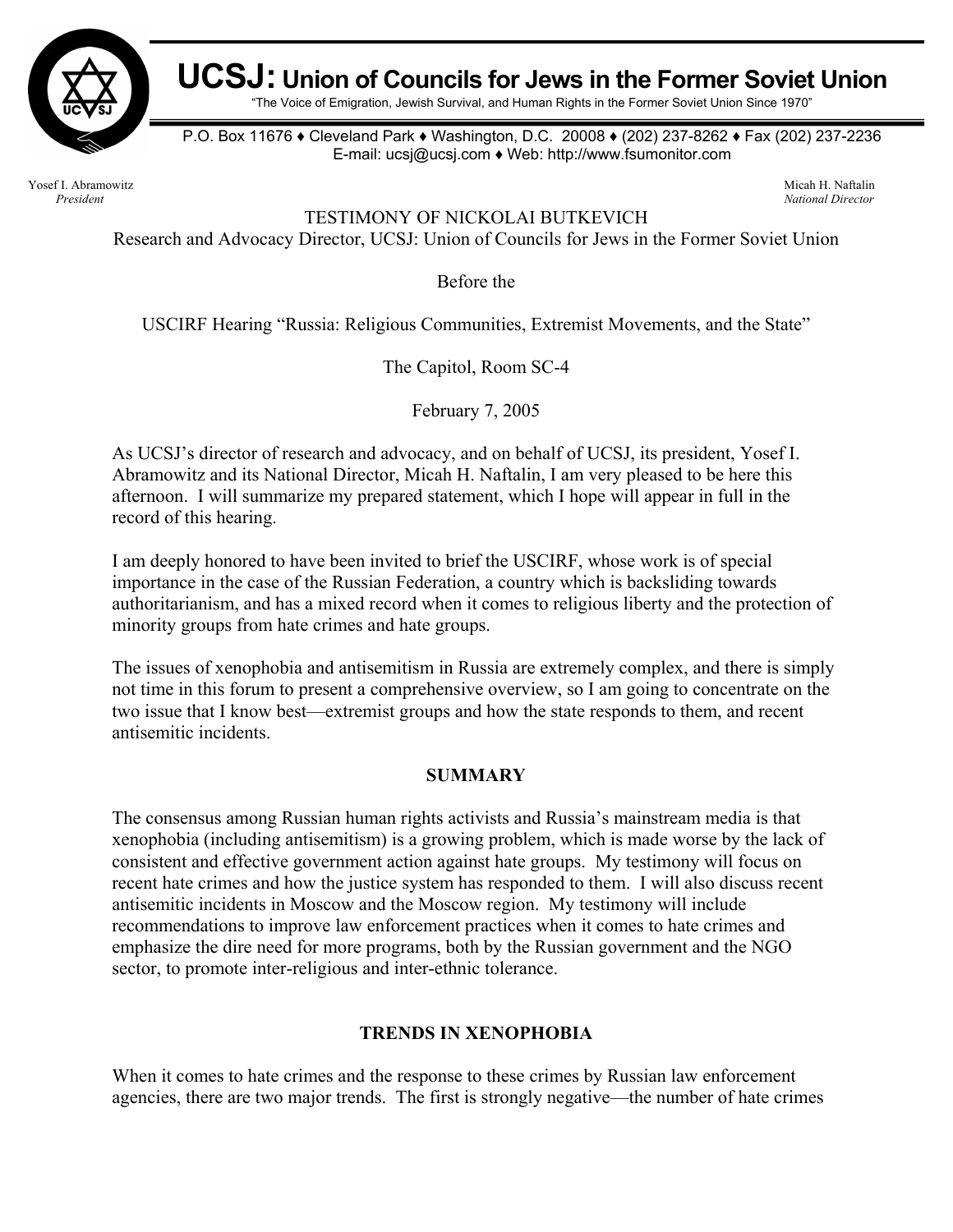

# **UCSJ: Union of Councils for Jews in the Former Soviet Union**

"The Voice of Emigration, Jewish Survival, and Human Rights in the Former Soviet Union Since 1970"

P.O. Box 11676 ♦ Cleveland Park ♦ Washington, D.C. 20008 ♦ (202) 237-8262 ♦ Fax (202) 237-2236 E-mail: ucsj@ucsj.com ♦ Web: http://www.fsumonitor.com

Yosef I. Abramowitz Micah H. Naftalin *President National Director* 

TESTIMONY OF NICKOLAI BUTKEVICH

Research and Advocacy Director, UCSJ: Union of Councils for Jews in the Former Soviet Union

Before the

USCIRF Hearing "Russia: Religious Communities, Extremist Movements, and the State"

The Capitol, Room SC-4

February 7, 2005

As UCSJ's director of research and advocacy, and on behalf of UCSJ, its president, Yosef I. Abramowitz and its National Director, Micah H. Naftalin, I am very pleased to be here this afternoon. I will summarize my prepared statement, which I hope will appear in full in the record of this hearing.

I am deeply honored to have been invited to brief the USCIRF, whose work is of special importance in the case of the Russian Federation, a country which is backsliding towards authoritarianism, and has a mixed record when it comes to religious liberty and the protection of minority groups from hate crimes and hate groups.

The issues of xenophobia and antisemitism in Russia are extremely complex, and there is simply not time in this forum to present a comprehensive overview, so I am going to concentrate on the two issue that I know best—extremist groups and how the state responds to them, and recent antisemitic incidents.

#### **SUMMARY**

The consensus among Russian human rights activists and Russia's mainstream media is that xenophobia (including antisemitism) is a growing problem, which is made worse by the lack of consistent and effective government action against hate groups. My testimony will focus on recent hate crimes and how the justice system has responded to them. I will also discuss recent antisemitic incidents in Moscow and the Moscow region. My testimony will include recommendations to improve law enforcement practices when it comes to hate crimes and emphasize the dire need for more programs, both by the Russian government and the NGO sector, to promote inter-religious and inter-ethnic tolerance.

# **TRENDS IN XENOPHOBIA**

When it comes to hate crimes and the response to these crimes by Russian law enforcement agencies, there are two major trends. The first is strongly negative—the number of hate crimes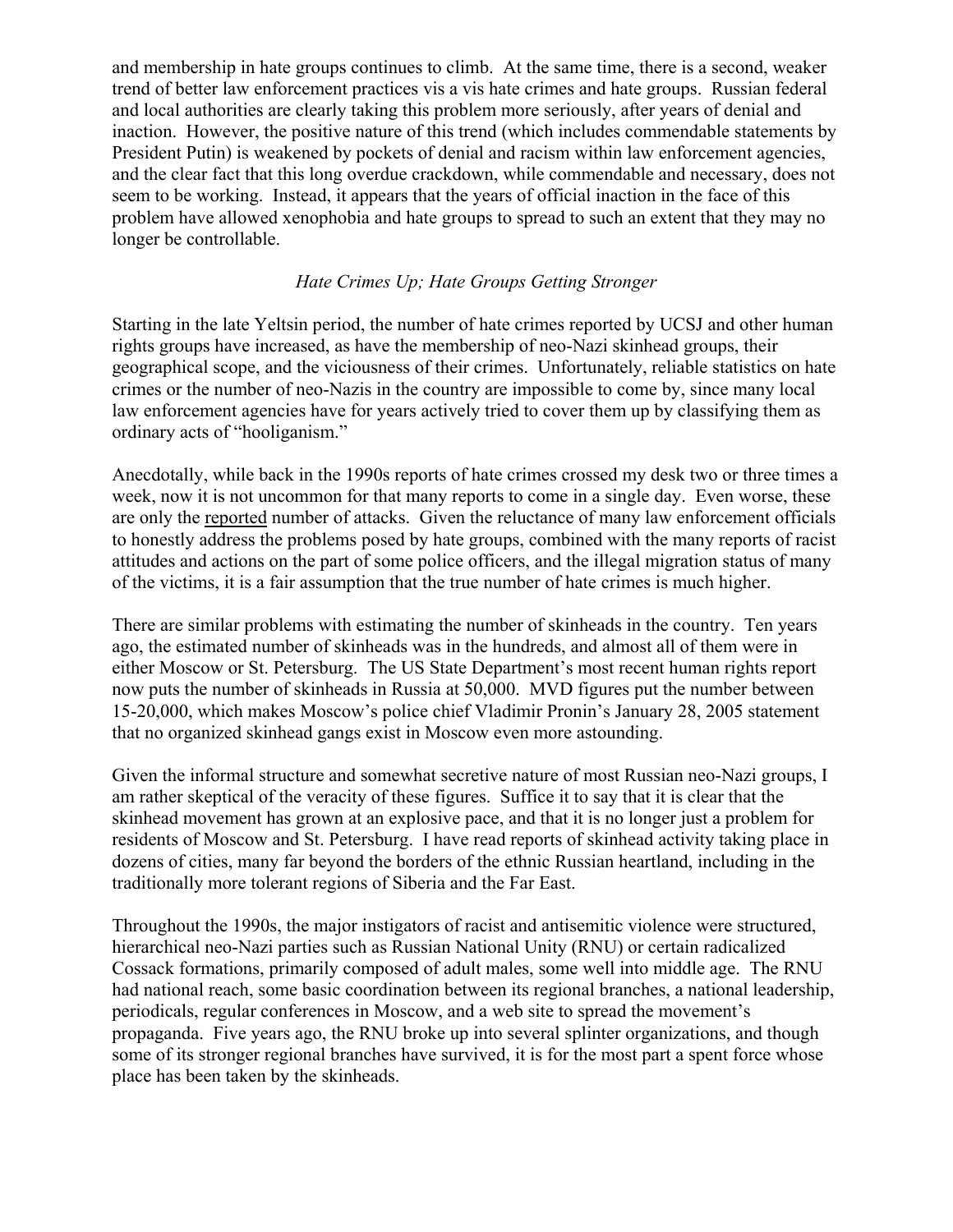and membership in hate groups continues to climb. At the same time, there is a second, weaker trend of better law enforcement practices vis a vis hate crimes and hate groups. Russian federal and local authorities are clearly taking this problem more seriously, after years of denial and inaction. However, the positive nature of this trend (which includes commendable statements by President Putin) is weakened by pockets of denial and racism within law enforcement agencies, and the clear fact that this long overdue crackdown, while commendable and necessary, does not seem to be working. Instead, it appears that the years of official inaction in the face of this problem have allowed xenophobia and hate groups to spread to such an extent that they may no longer be controllable.

# *Hate Crimes Up; Hate Groups Getting Stronger*

Starting in the late Yeltsin period, the number of hate crimes reported by UCSJ and other human rights groups have increased, as have the membership of neo-Nazi skinhead groups, their geographical scope, and the viciousness of their crimes. Unfortunately, reliable statistics on hate crimes or the number of neo-Nazis in the country are impossible to come by, since many local law enforcement agencies have for years actively tried to cover them up by classifying them as ordinary acts of "hooliganism."

Anecdotally, while back in the 1990s reports of hate crimes crossed my desk two or three times a week, now it is not uncommon for that many reports to come in a single day. Even worse, these are only the reported number of attacks. Given the reluctance of many law enforcement officials to honestly address the problems posed by hate groups, combined with the many reports of racist attitudes and actions on the part of some police officers, and the illegal migration status of many of the victims, it is a fair assumption that the true number of hate crimes is much higher.

There are similar problems with estimating the number of skinheads in the country. Ten years ago, the estimated number of skinheads was in the hundreds, and almost all of them were in either Moscow or St. Petersburg. The US State Department's most recent human rights report now puts the number of skinheads in Russia at 50,000. MVD figures put the number between 15-20,000, which makes Moscow's police chief Vladimir Pronin's January 28, 2005 statement that no organized skinhead gangs exist in Moscow even more astounding.

Given the informal structure and somewhat secretive nature of most Russian neo-Nazi groups, I am rather skeptical of the veracity of these figures. Suffice it to say that it is clear that the skinhead movement has grown at an explosive pace, and that it is no longer just a problem for residents of Moscow and St. Petersburg. I have read reports of skinhead activity taking place in dozens of cities, many far beyond the borders of the ethnic Russian heartland, including in the traditionally more tolerant regions of Siberia and the Far East.

Throughout the 1990s, the major instigators of racist and antisemitic violence were structured, hierarchical neo-Nazi parties such as Russian National Unity (RNU) or certain radicalized Cossack formations, primarily composed of adult males, some well into middle age. The RNU had national reach, some basic coordination between its regional branches, a national leadership, periodicals, regular conferences in Moscow, and a web site to spread the movement's propaganda. Five years ago, the RNU broke up into several splinter organizations, and though some of its stronger regional branches have survived, it is for the most part a spent force whose place has been taken by the skinheads.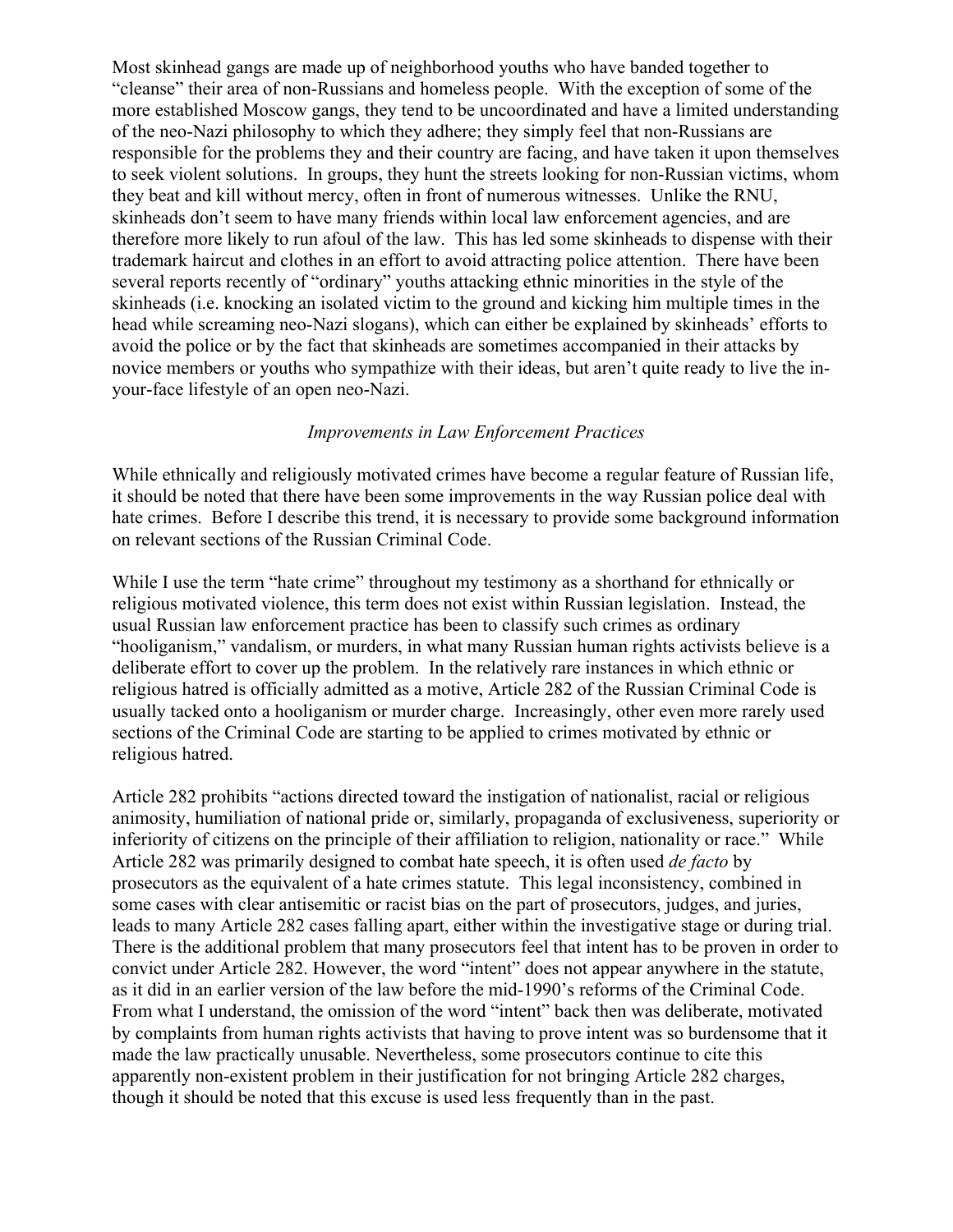Most skinhead gangs are made up of neighborhood youths who have banded together to "cleanse" their area of non-Russians and homeless people. With the exception of some of the more established Moscow gangs, they tend to be uncoordinated and have a limited understanding of the neo-Nazi philosophy to which they adhere; they simply feel that non-Russians are responsible for the problems they and their country are facing, and have taken it upon themselves to seek violent solutions. In groups, they hunt the streets looking for non-Russian victims, whom they beat and kill without mercy, often in front of numerous witnesses. Unlike the RNU, skinheads don't seem to have many friends within local law enforcement agencies, and are therefore more likely to run afoul of the law. This has led some skinheads to dispense with their trademark haircut and clothes in an effort to avoid attracting police attention. There have been several reports recently of "ordinary" youths attacking ethnic minorities in the style of the skinheads (i.e. knocking an isolated victim to the ground and kicking him multiple times in the head while screaming neo-Nazi slogans), which can either be explained by skinheads' efforts to avoid the police or by the fact that skinheads are sometimes accompanied in their attacks by novice members or youths who sympathize with their ideas, but aren't quite ready to live the inyour-face lifestyle of an open neo-Nazi.

# *Improvements in Law Enforcement Practices*

While ethnically and religiously motivated crimes have become a regular feature of Russian life, it should be noted that there have been some improvements in the way Russian police deal with hate crimes. Before I describe this trend, it is necessary to provide some background information on relevant sections of the Russian Criminal Code.

While I use the term "hate crime" throughout my testimony as a shorthand for ethnically or religious motivated violence, this term does not exist within Russian legislation. Instead, the usual Russian law enforcement practice has been to classify such crimes as ordinary "hooliganism," vandalism, or murders, in what many Russian human rights activists believe is a deliberate effort to cover up the problem. In the relatively rare instances in which ethnic or religious hatred is officially admitted as a motive, Article 282 of the Russian Criminal Code is usually tacked onto a hooliganism or murder charge. Increasingly, other even more rarely used sections of the Criminal Code are starting to be applied to crimes motivated by ethnic or religious hatred.

Article 282 prohibits "actions directed toward the instigation of nationalist, racial or religious animosity, humiliation of national pride or, similarly, propaganda of exclusiveness, superiority or inferiority of citizens on the principle of their affiliation to religion, nationality or race." While Article 282 was primarily designed to combat hate speech, it is often used *de facto* by prosecutors as the equivalent of a hate crimes statute. This legal inconsistency, combined in some cases with clear antisemitic or racist bias on the part of prosecutors, judges, and juries, leads to many Article 282 cases falling apart, either within the investigative stage or during trial. There is the additional problem that many prosecutors feel that intent has to be proven in order to convict under Article 282. However, the word "intent" does not appear anywhere in the statute, as it did in an earlier version of the law before the mid-1990's reforms of the Criminal Code. From what I understand, the omission of the word "intent" back then was deliberate, motivated by complaints from human rights activists that having to prove intent was so burdensome that it made the law practically unusable. Nevertheless, some prosecutors continue to cite this apparently non-existent problem in their justification for not bringing Article 282 charges, though it should be noted that this excuse is used less frequently than in the past.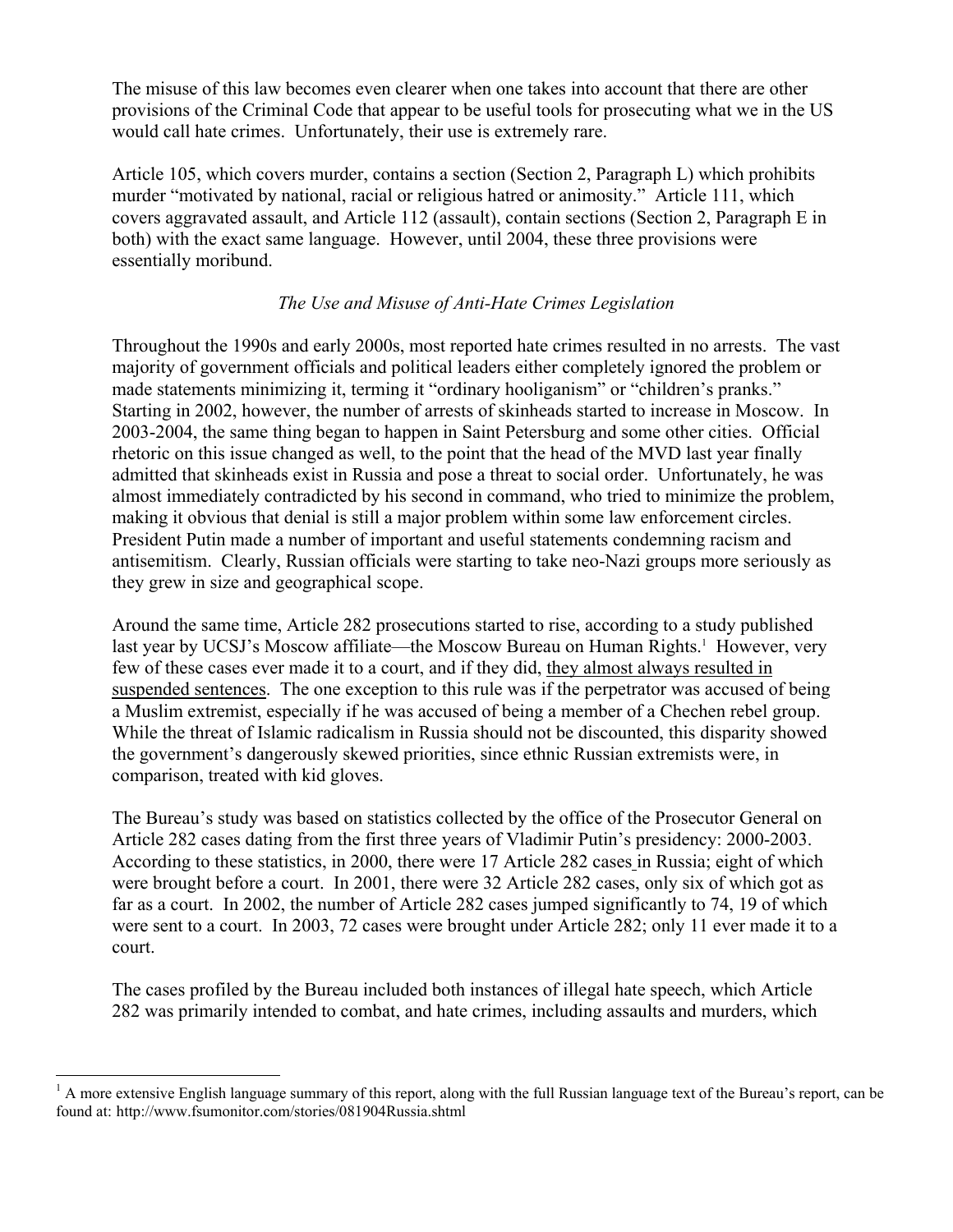The misuse of this law becomes even clearer when one takes into account that there are other provisions of the Criminal Code that appear to be useful tools for prosecuting what we in the US would call hate crimes. Unfortunately, their use is extremely rare.

Article 105, which covers murder, contains a section (Section 2, Paragraph L) which prohibits murder "motivated by national, racial or religious hatred or animosity." Article 111, which covers aggravated assault, and Article 112 (assault), contain sections (Section 2, Paragraph E in both) with the exact same language. However, until 2004, these three provisions were essentially moribund.

# *The Use and Misuse of Anti-Hate Crimes Legislation*

Throughout the 1990s and early 2000s, most reported hate crimes resulted in no arrests. The vast majority of government officials and political leaders either completely ignored the problem or made statements minimizing it, terming it "ordinary hooliganism" or "children's pranks." Starting in 2002, however, the number of arrests of skinheads started to increase in Moscow. In 2003-2004, the same thing began to happen in Saint Petersburg and some other cities. Official rhetoric on this issue changed as well, to the point that the head of the MVD last year finally admitted that skinheads exist in Russia and pose a threat to social order. Unfortunately, he was almost immediately contradicted by his second in command, who tried to minimize the problem, making it obvious that denial is still a major problem within some law enforcement circles. President Putin made a number of important and useful statements condemning racism and antisemitism. Clearly, Russian officials were starting to take neo-Nazi groups more seriously as they grew in size and geographical scope.

Around the same time, Article 282 prosecutions started to rise, according to a study published lastyear by UCSJ's Moscow affiliate—the Moscow Bureau on Human Rights.<sup>1</sup> However, very few of these cases ever made it to a court, and if they did, they almost always resulted in suspended sentences. The one exception to this rule was if the perpetrator was accused of being a Muslim extremist, especially if he was accused of being a member of a Chechen rebel group. While the threat of Islamic radicalism in Russia should not be discounted, this disparity showed the government's dangerously skewed priorities, since ethnic Russian extremists were, in comparison, treated with kid gloves.

The Bureau's study was based on statistics collected by the office of the Prosecutor General on Article 282 cases dating from the first three years of Vladimir Putin's presidency: 2000-2003. According to these statistics, in 2000, there were 17 Article 282 cases in Russia; eight of which were brought before a court. In 2001, there were 32 Article 282 cases, only six of which got as far as a court. In 2002, the number of Article 282 cases jumped significantly to 74, 19 of which were sent to a court. In 2003, 72 cases were brought under Article 282; only 11 ever made it to a court.

The cases profiled by the Bureau included both instances of illegal hate speech, which Article 282 was primarily intended to combat, and hate crimes, including assaults and murders, which

 $\overline{a}$ 

<span id="page-3-0"></span> $<sup>1</sup>$  A more extensive English language summary of this report, along with the full Russian language text of the Bureau's report, can be</sup> found at: http://www.fsumonitor.com/stories/081904Russia.shtml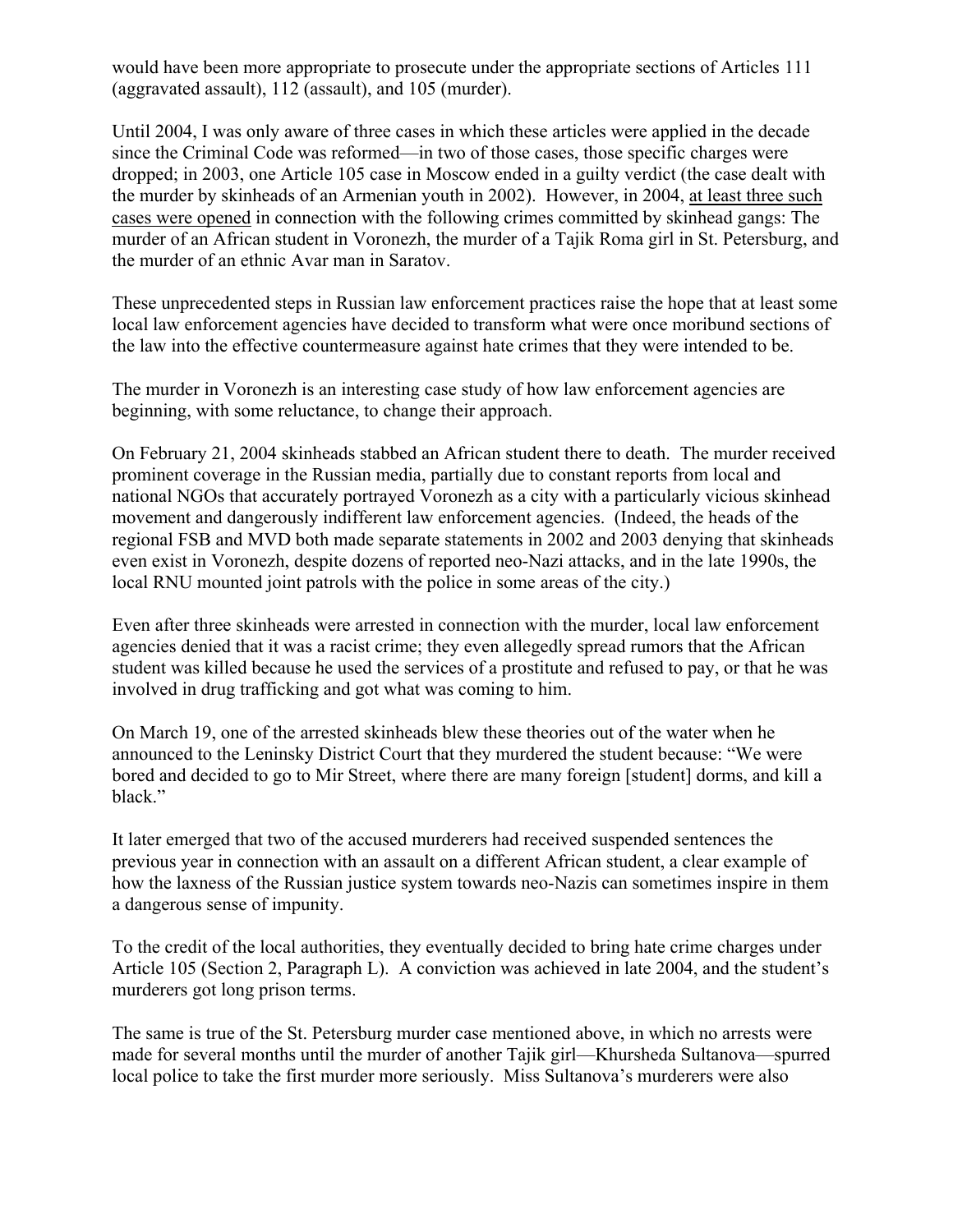would have been more appropriate to prosecute under the appropriate sections of Articles 111 (aggravated assault), 112 (assault), and 105 (murder).

Until 2004, I was only aware of three cases in which these articles were applied in the decade since the Criminal Code was reformed—in two of those cases, those specific charges were dropped; in 2003, one Article 105 case in Moscow ended in a guilty verdict (the case dealt with the murder by skinheads of an Armenian youth in 2002). However, in 2004, at least three such cases were opened in connection with the following crimes committed by skinhead gangs: The murder of an African student in Voronezh, the murder of a Tajik Roma girl in St. Petersburg, and the murder of an ethnic Avar man in Saratov.

These unprecedented steps in Russian law enforcement practices raise the hope that at least some local law enforcement agencies have decided to transform what were once moribund sections of the law into the effective countermeasure against hate crimes that they were intended to be.

The murder in Voronezh is an interesting case study of how law enforcement agencies are beginning, with some reluctance, to change their approach.

On February 21, 2004 skinheads stabbed an African student there to death. The murder received prominent coverage in the Russian media, partially due to constant reports from local and national NGOs that accurately portrayed Voronezh as a city with a particularly vicious skinhead movement and dangerously indifferent law enforcement agencies. (Indeed, the heads of the regional FSB and MVD both made separate statements in 2002 and 2003 denying that skinheads even exist in Voronezh, despite dozens of reported neo-Nazi attacks, and in the late 1990s, the local RNU mounted joint patrols with the police in some areas of the city.)

Even after three skinheads were arrested in connection with the murder, local law enforcement agencies denied that it was a racist crime; they even allegedly spread rumors that the African student was killed because he used the services of a prostitute and refused to pay, or that he was involved in drug trafficking and got what was coming to him.

On March 19, one of the arrested skinheads blew these theories out of the water when he announced to the Leninsky District Court that they murdered the student because: "We were bored and decided to go to Mir Street, where there are many foreign [student] dorms, and kill a black."

It later emerged that two of the accused murderers had received suspended sentences the previous year in connection with an assault on a different African student, a clear example of how the laxness of the Russian justice system towards neo-Nazis can sometimes inspire in them a dangerous sense of impunity.

To the credit of the local authorities, they eventually decided to bring hate crime charges under Article 105 (Section 2, Paragraph L). A conviction was achieved in late 2004, and the student's murderers got long prison terms.

The same is true of the St. Petersburg murder case mentioned above, in which no arrests were made for several months until the murder of another Tajik girl—Khursheda Sultanova—spurred local police to take the first murder more seriously. Miss Sultanova's murderers were also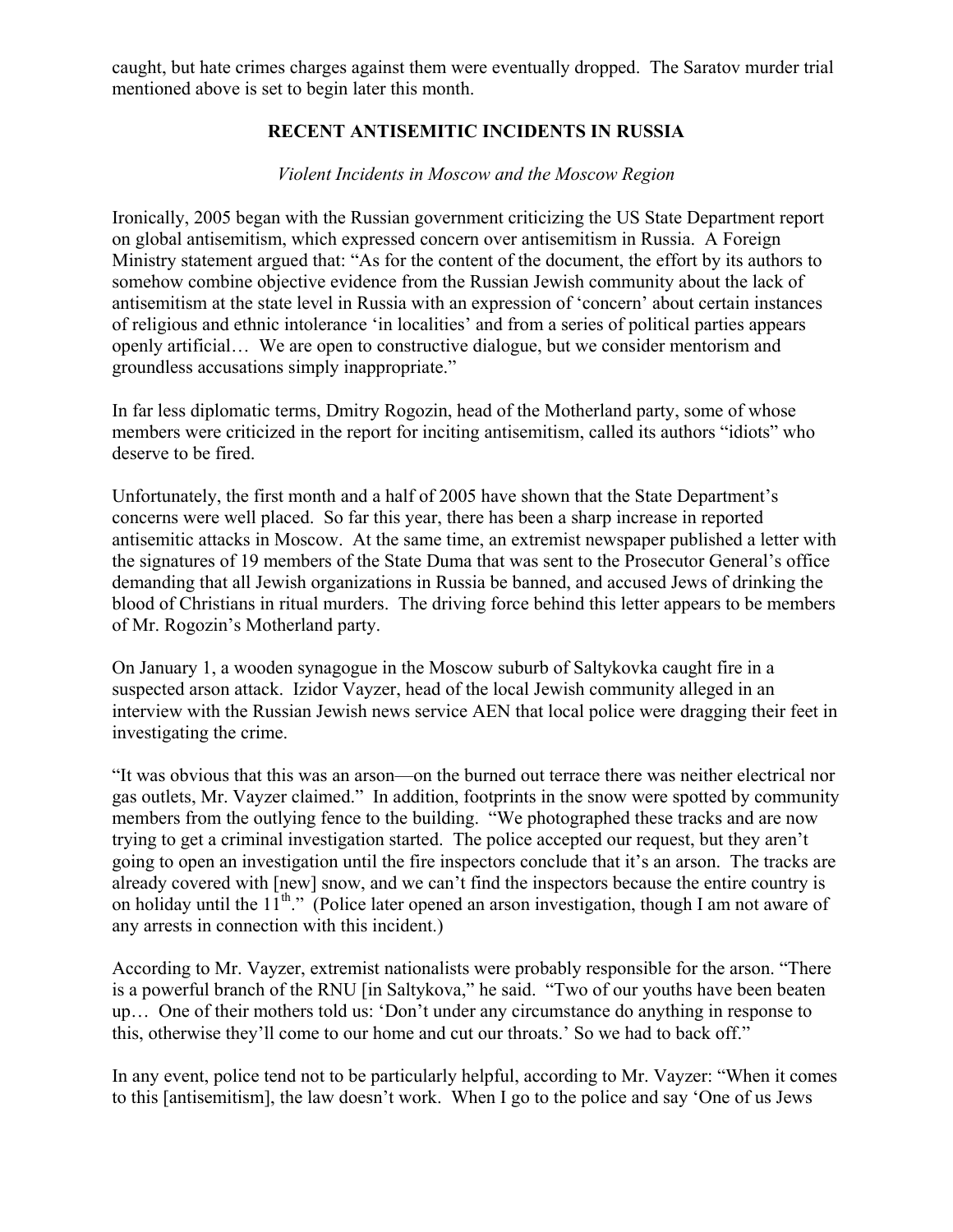caught, but hate crimes charges against them were eventually dropped. The Saratov murder trial mentioned above is set to begin later this month.

# **RECENT ANTISEMITIC INCIDENTS IN RUSSIA**

### *Violent Incidents in Moscow and the Moscow Region*

Ironically, 2005 began with the Russian government criticizing the US State Department report on global antisemitism, which expressed concern over antisemitism in Russia. A Foreign Ministry statement argued that: "As for the content of the document, the effort by its authors to somehow combine objective evidence from the Russian Jewish community about the lack of antisemitism at the state level in Russia with an expression of 'concern' about certain instances of religious and ethnic intolerance 'in localities' and from a series of political parties appears openly artificial… We are open to constructive dialogue, but we consider mentorism and groundless accusations simply inappropriate."

In far less diplomatic terms, Dmitry Rogozin, head of the Motherland party, some of whose members were criticized in the report for inciting antisemitism, called its authors "idiots" who deserve to be fired.

Unfortunately, the first month and a half of 2005 have shown that the State Department's concerns were well placed. So far this year, there has been a sharp increase in reported antisemitic attacks in Moscow. At the same time, an extremist newspaper published a letter with the signatures of 19 members of the State Duma that was sent to the Prosecutor General's office demanding that all Jewish organizations in Russia be banned, and accused Jews of drinking the blood of Christians in ritual murders. The driving force behind this letter appears to be members of Mr. Rogozin's Motherland party.

On January 1, a wooden synagogue in the Moscow suburb of Saltykovka caught fire in a suspected arson attack. Izidor Vayzer, head of the local Jewish community alleged in an interview with the Russian Jewish news service AEN that local police were dragging their feet in investigating the crime.

"It was obvious that this was an arson—on the burned out terrace there was neither electrical nor gas outlets, Mr. Vayzer claimed." In addition, footprints in the snow were spotted by community members from the outlying fence to the building. "We photographed these tracks and are now trying to get a criminal investigation started. The police accepted our request, but they aren't going to open an investigation until the fire inspectors conclude that it's an arson. The tracks are already covered with [new] snow, and we can't find the inspectors because the entire country is on holiday until the  $11^{th}$ ." (Police later opened an arson investigation, though I am not aware of any arrests in connection with this incident.)

According to Mr. Vayzer, extremist nationalists were probably responsible for the arson. "There is a powerful branch of the RNU [in Saltykova," he said. "Two of our youths have been beaten up… One of their mothers told us: 'Don't under any circumstance do anything in response to this, otherwise they'll come to our home and cut our throats.' So we had to back off."

In any event, police tend not to be particularly helpful, according to Mr. Vayzer: "When it comes to this [antisemitism], the law doesn't work. When I go to the police and say 'One of us Jews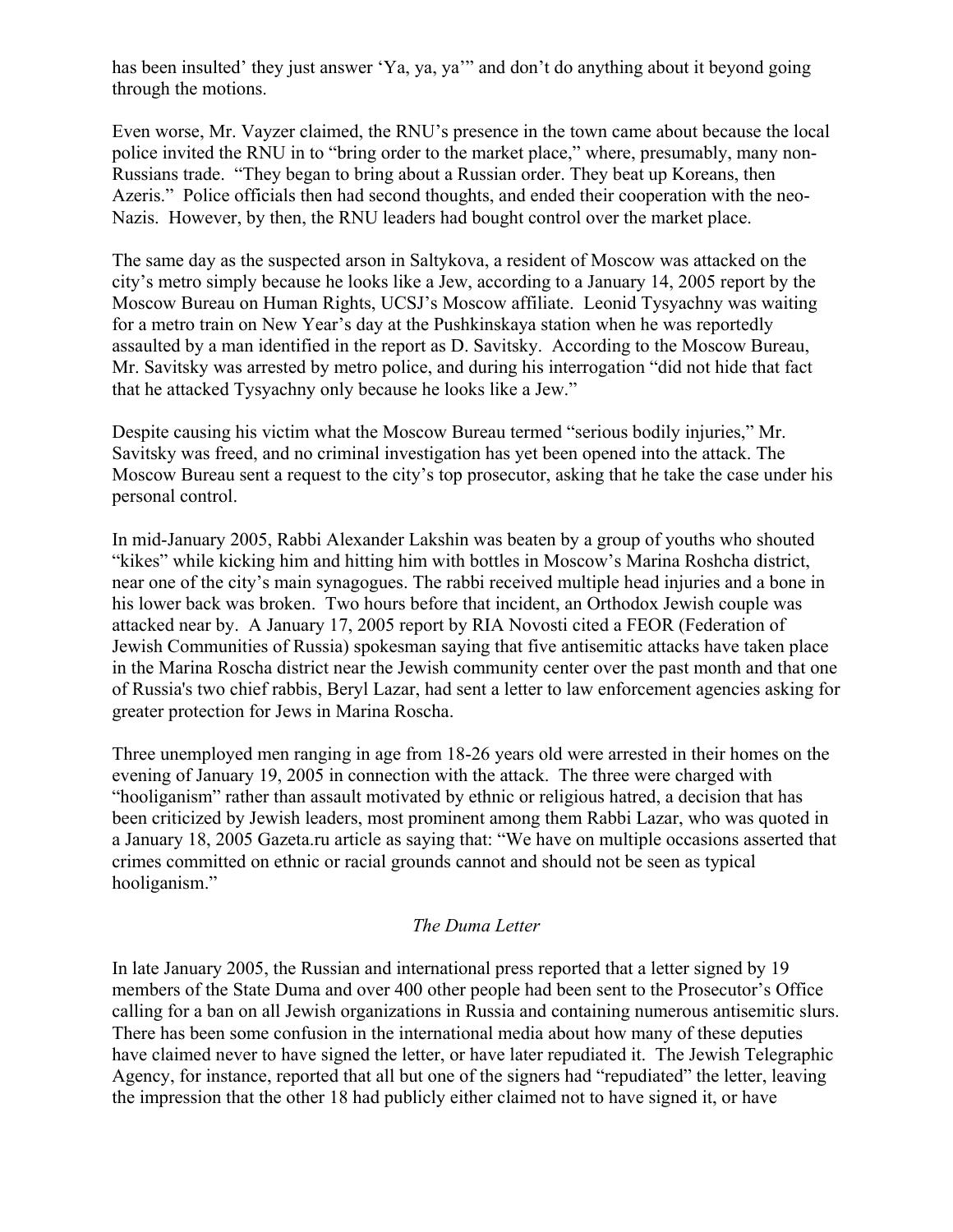has been insulted' they just answer 'Ya, ya, ya'" and don't do anything about it beyond going through the motions.

Even worse, Mr. Vayzer claimed, the RNU's presence in the town came about because the local police invited the RNU in to "bring order to the market place," where, presumably, many non-Russians trade. "They began to bring about a Russian order. They beat up Koreans, then Azeris." Police officials then had second thoughts, and ended their cooperation with the neo-Nazis. However, by then, the RNU leaders had bought control over the market place.

The same day as the suspected arson in Saltykova, a resident of Moscow was attacked on the city's metro simply because he looks like a Jew, according to a January 14, 2005 report by the Moscow Bureau on Human Rights, UCSJ's Moscow affiliate. Leonid Tysyachny was waiting for a metro train on New Year's day at the Pushkinskaya station when he was reportedly assaulted by a man identified in the report as D. Savitsky. According to the Moscow Bureau, Mr. Savitsky was arrested by metro police, and during his interrogation "did not hide that fact that he attacked Tysyachny only because he looks like a Jew."

Despite causing his victim what the Moscow Bureau termed "serious bodily injuries," Mr. Savitsky was freed, and no criminal investigation has yet been opened into the attack. The Moscow Bureau sent a request to the city's top prosecutor, asking that he take the case under his personal control.

In mid-January 2005, Rabbi Alexander Lakshin was beaten by a group of youths who shouted "kikes" while kicking him and hitting him with bottles in Moscow's Marina Roshcha district, near one of the city's main synagogues. The rabbi received multiple head injuries and a bone in his lower back was broken. Two hours before that incident, an Orthodox Jewish couple was attacked near by. A January 17, 2005 report by RIA Novosti cited a FEOR (Federation of Jewish Communities of Russia) spokesman saying that five antisemitic attacks have taken place in the Marina Roscha district near the Jewish community center over the past month and that one of Russia's two chief rabbis, Beryl Lazar, had sent a letter to law enforcement agencies asking for greater protection for Jews in Marina Roscha.

Three unemployed men ranging in age from 18-26 years old were arrested in their homes on the evening of January 19, 2005 in connection with the attack. The three were charged with "hooliganism" rather than assault motivated by ethnic or religious hatred, a decision that has been criticized by Jewish leaders, most prominent among them Rabbi Lazar, who was quoted in a January 18, 2005 Gazeta.ru article as saying that: "We have on multiple occasions asserted that crimes committed on ethnic or racial grounds cannot and should not be seen as typical hooliganism."

#### *The Duma Letter*

In late January 2005, the Russian and international press reported that a letter signed by 19 members of the State Duma and over 400 other people had been sent to the Prosecutor's Office calling for a ban on all Jewish organizations in Russia and containing numerous antisemitic slurs. There has been some confusion in the international media about how many of these deputies have claimed never to have signed the letter, or have later repudiated it. The Jewish Telegraphic Agency, for instance, reported that all but one of the signers had "repudiated" the letter, leaving the impression that the other 18 had publicly either claimed not to have signed it, or have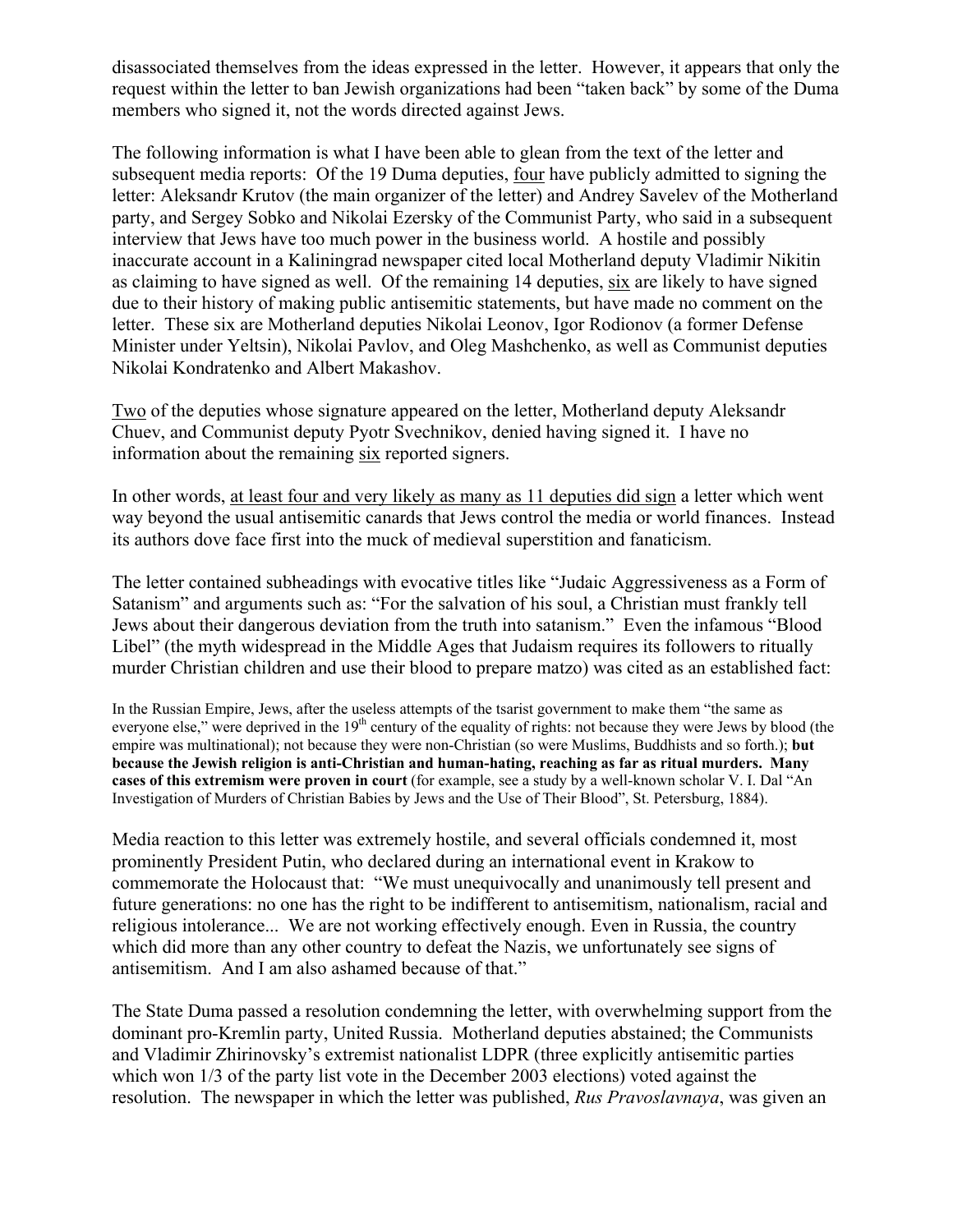disassociated themselves from the ideas expressed in the letter. However, it appears that only the request within the letter to ban Jewish organizations had been "taken back" by some of the Duma members who signed it, not the words directed against Jews.

The following information is what I have been able to glean from the text of the letter and subsequent media reports: Of the 19 Duma deputies, four have publicly admitted to signing the letter: Aleksandr Krutov (the main organizer of the letter) and Andrey Savelev of the Motherland party, and Sergey Sobko and Nikolai Ezersky of the Communist Party, who said in a subsequent interview that Jews have too much power in the business world. A hostile and possibly inaccurate account in a Kaliningrad newspaper cited local Motherland deputy Vladimir Nikitin as claiming to have signed as well. Of the remaining 14 deputies, six are likely to have signed due to their history of making public antisemitic statements, but have made no comment on the letter. These six are Motherland deputies Nikolai Leonov, Igor Rodionov (a former Defense Minister under Yeltsin), Nikolai Pavlov, and Oleg Mashchenko, as well as Communist deputies Nikolai Kondratenko and Albert Makashov.

Two of the deputies whose signature appeared on the letter, Motherland deputy Aleksandr Chuev, and Communist deputy Pyotr Svechnikov, denied having signed it. I have no information about the remaining six reported signers.

In other words, at least four and very likely as many as 11 deputies did sign a letter which went way beyond the usual antisemitic canards that Jews control the media or world finances. Instead its authors dove face first into the muck of medieval superstition and fanaticism.

The letter contained subheadings with evocative titles like "Judaic Aggressiveness as a Form of Satanism" and arguments such as: "For the salvation of his soul, a Christian must frankly tell Jews about their dangerous deviation from the truth into satanism." Even the infamous "Blood Libel" (the myth widespread in the Middle Ages that Judaism requires its followers to ritually murder Christian children and use their blood to prepare matzo) was cited as an established fact:

In the Russian Empire, Jews, after the useless attempts of the tsarist government to make them "the same as everyone else," were deprived in the 19<sup>th</sup> century of the equality of rights: not because they were Jews by blood (the empire was multinational); not because they were non-Christian (so were Muslims, Buddhists and so forth.); **but because the Jewish religion is anti-Christian and human-hating, reaching as far as ritual murders. Many cases of this extremism were proven in court** (for example, see a study by a well-known scholar V. I. Dal "An Investigation of Murders of Christian Babies by Jews and the Use of Their Blood", St. Petersburg, 1884).

Media reaction to this letter was extremely hostile, and several officials condemned it, most prominently President Putin, who declared during an international event in Krakow to commemorate the Holocaust that: "We must unequivocally and unanimously tell present and future generations: no one has the right to be indifferent to antisemitism, nationalism, racial and religious intolerance... We are not working effectively enough. Even in Russia, the country which did more than any other country to defeat the Nazis, we unfortunately see signs of antisemitism. And I am also ashamed because of that."

The State Duma passed a resolution condemning the letter, with overwhelming support from the dominant pro-Kremlin party, United Russia. Motherland deputies abstained; the Communists and Vladimir Zhirinovsky's extremist nationalist LDPR (three explicitly antisemitic parties which won 1/3 of the party list vote in the December 2003 elections) voted against the resolution. The newspaper in which the letter was published, *Rus Pravoslavnaya*, was given an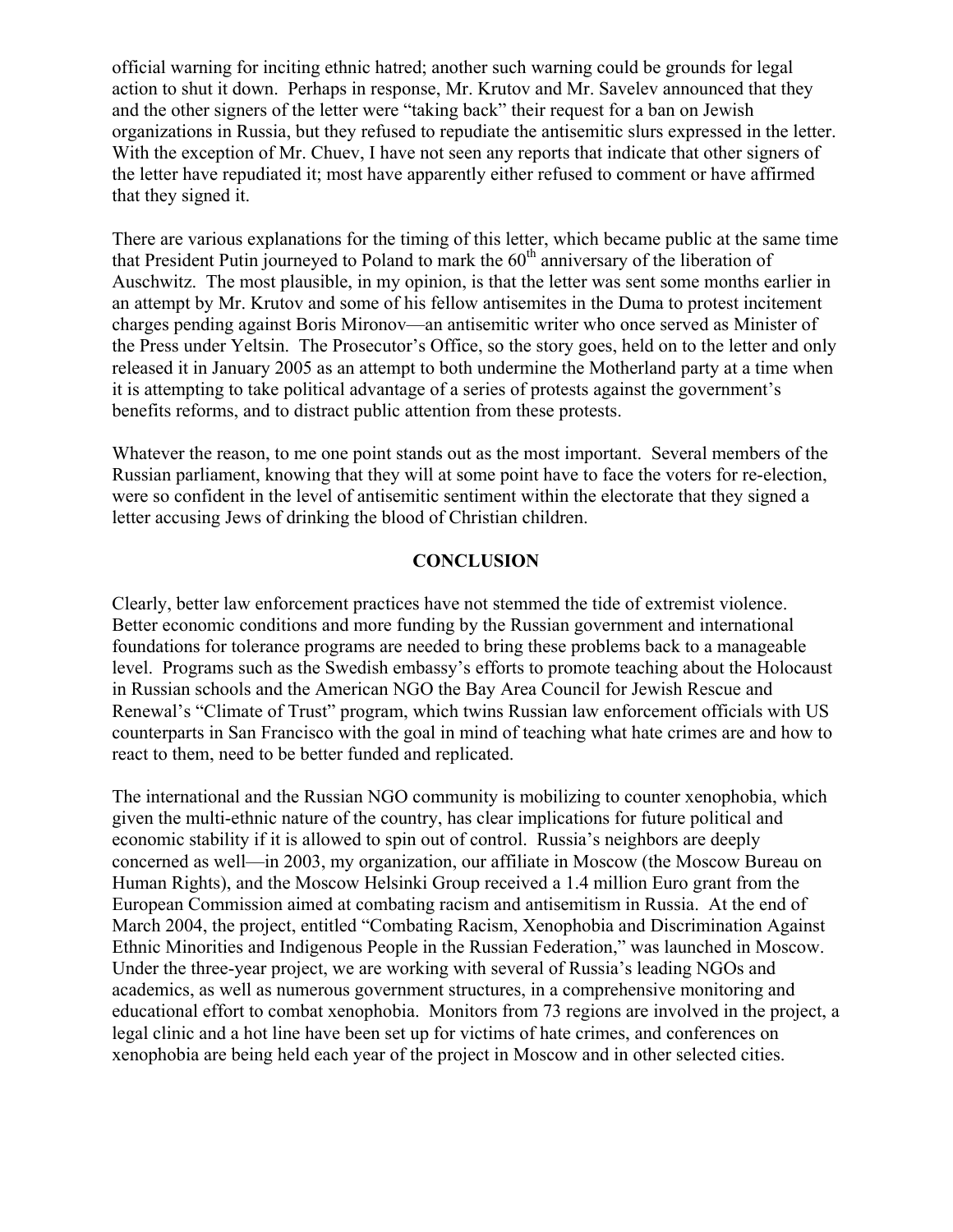official warning for inciting ethnic hatred; another such warning could be grounds for legal action to shut it down. Perhaps in response, Mr. Krutov and Mr. Savelev announced that they and the other signers of the letter were "taking back" their request for a ban on Jewish organizations in Russia, but they refused to repudiate the antisemitic slurs expressed in the letter. With the exception of Mr. Chuev, I have not seen any reports that indicate that other signers of the letter have repudiated it; most have apparently either refused to comment or have affirmed that they signed it.

There are various explanations for the timing of this letter, which became public at the same time that President Putin journeyed to Poland to mark the  $60<sup>th</sup>$  anniversary of the liberation of Auschwitz. The most plausible, in my opinion, is that the letter was sent some months earlier in an attempt by Mr. Krutov and some of his fellow antisemites in the Duma to protest incitement charges pending against Boris Mironov—an antisemitic writer who once served as Minister of the Press under Yeltsin. The Prosecutor's Office, so the story goes, held on to the letter and only released it in January 2005 as an attempt to both undermine the Motherland party at a time when it is attempting to take political advantage of a series of protests against the government's benefits reforms, and to distract public attention from these protests.

Whatever the reason, to me one point stands out as the most important. Several members of the Russian parliament, knowing that they will at some point have to face the voters for re-election, were so confident in the level of antisemitic sentiment within the electorate that they signed a letter accusing Jews of drinking the blood of Christian children.

#### **CONCLUSION**

Clearly, better law enforcement practices have not stemmed the tide of extremist violence. Better economic conditions and more funding by the Russian government and international foundations for tolerance programs are needed to bring these problems back to a manageable level. Programs such as the Swedish embassy's efforts to promote teaching about the Holocaust in Russian schools and the American NGO the Bay Area Council for Jewish Rescue and Renewal's "Climate of Trust" program, which twins Russian law enforcement officials with US counterparts in San Francisco with the goal in mind of teaching what hate crimes are and how to react to them, need to be better funded and replicated.

The international and the Russian NGO community is mobilizing to counter xenophobia, which given the multi-ethnic nature of the country, has clear implications for future political and economic stability if it is allowed to spin out of control. Russia's neighbors are deeply concerned as well—in 2003, my organization, our affiliate in Moscow (the Moscow Bureau on Human Rights), and the Moscow Helsinki Group received a 1.4 million Euro grant from the European Commission aimed at combating racism and antisemitism in Russia. At the end of March 2004, the project, entitled "Combating Racism, Xenophobia and Discrimination Against Ethnic Minorities and Indigenous People in the Russian Federation," was launched in Moscow. Under the three-year project, we are working with several of Russia's leading NGOs and academics, as well as numerous government structures, in a comprehensive monitoring and educational effort to combat xenophobia. Monitors from 73 regions are involved in the project, a legal clinic and a hot line have been set up for victims of hate crimes, and conferences on xenophobia are being held each year of the project in Moscow and in other selected cities.